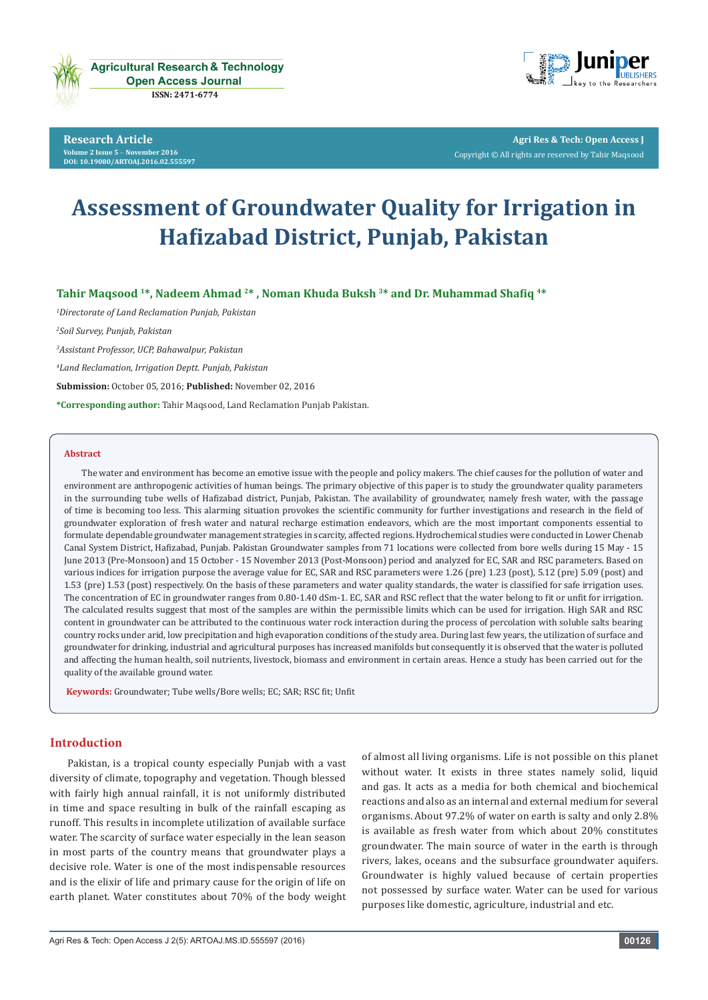

**Research Article Volume 2 Issue 5** - **November 2016 [DOI:](http://dx.doi.org/10.19080/artoaj.2016.02.555590
) [10.19080/ARTOAJ.2016.02.555597](http://dx.doi.org/10.19080/artoaj.2016.02.555597
)**



**Agri Res & Tech: Open Access J** Copyright © All rights are reserved by Tahir Maqsood

# **Assessment of Groundwater Quality for Irrigation in Hafizabad District, Punjab, Pakistan**

**Tahir Maqsood 1\*, Nadeem Ahmad <sup>2</sup>\* , Noman Khuda Buksh <sup>3</sup>\* and Dr. Muhammad Shafiq 4\***

*1 Directorate of Land Reclamation Punjab, Pakistan*

*2 Soil Survey, Punjab, Pakistan*

*3 Assistant Professor, UCP, Bahawalpur, Pakistan*

*4 Land Reclamation, Irrigation Deptt. Punjab, Pakistan*

**Submission:** October 05, 2016; **Published:** November 02, 2016

**\*Corresponding author:** Tahir Maqsood, Land Reclamation Punjab Pakistan.

#### **Abstract**

The water and environment has become an emotive issue with the people and policy makers. The chief causes for the pollution of water and environment are anthropogenic activities of human beings. The primary objective of this paper is to study the groundwater quality parameters in the surrounding tube wells of Hafizabad district, Punjab, Pakistan. The availability of groundwater, namely fresh water, with the passage of time is becoming too less. This alarming situation provokes the scientific community for further investigations and research in the field of groundwater exploration of fresh water and natural recharge estimation endeavors, which are the most important components essential to formulate dependable groundwater management strategies in scarcity, affected regions. Hydrochemical studies were conducted in Lower Chenab Canal System District, Hafizabad, Punjab. Pakistan Groundwater samples from 71 locations were collected from bore wells during 15 May - 15 June 2013 (Pre-Monsoon) and 15 October - 15 November 2013 (Post-Monsoon) period and analyzed for EC, SAR and RSC parameters. Based on various indices for irrigation purpose the average value for EC, SAR and RSC parameters were 1.26 (pre) 1.23 (post), 5.12 (pre) 5.09 (post) and 1.53 (pre) 1.53 (post) respectively. On the basis of these parameters and water quality standards, the water is classified for safe irrigation uses. The concentration of EC in groundwater ranges from 0.80-1.40 dSm-1. EC, SAR and RSC reflect that the water belong to fit or unfit for irrigation. The calculated results suggest that most of the samples are within the permissible limits which can be used for irrigation. High SAR and RSC content in groundwater can be attributed to the continuous water rock interaction during the process of percolation with soluble salts bearing country rocks under arid, low precipitation and high evaporation conditions of the study area. During last few years, the utilization of surface and groundwater for drinking, industrial and agricultural purposes has increased manifolds but consequently it is observed that the water is polluted and affecting the human health, soil nutrients, livestock, biomass and environment in certain areas. Hence a study has been carried out for the quality of the available ground water.

**Keywords:** Groundwater; Tube wells/Bore wells; EC; SAR; RSC fit; Unfit

### **Introduction**

Pakistan, is a tropical county especially Punjab with a vast diversity of climate, topography and vegetation. Though blessed with fairly high annual rainfall, it is not uniformly distributed in time and space resulting in bulk of the rainfall escaping as runoff. This results in incomplete utilization of available surface water. The scarcity of surface water especially in the lean season in most parts of the country means that groundwater plays a decisive role. Water is one of the most indispensable resources and is the elixir of life and primary cause for the origin of life on earth planet. Water constitutes about 70% of the body weight

of almost all living organisms. Life is not possible on this planet without water. It exists in three states namely solid, liquid and gas. It acts as a media for both chemical and biochemical reactions and also as an internal and external medium for several organisms. About 97.2% of water on earth is salty and only 2.8% is available as fresh water from which about 20% constitutes groundwater. The main source of water in the earth is through rivers, lakes, oceans and the subsurface groundwater aquifers. Groundwater is highly valued because of certain properties not possessed by surface water. Water can be used for various purposes like domestic, agriculture, industrial and etc.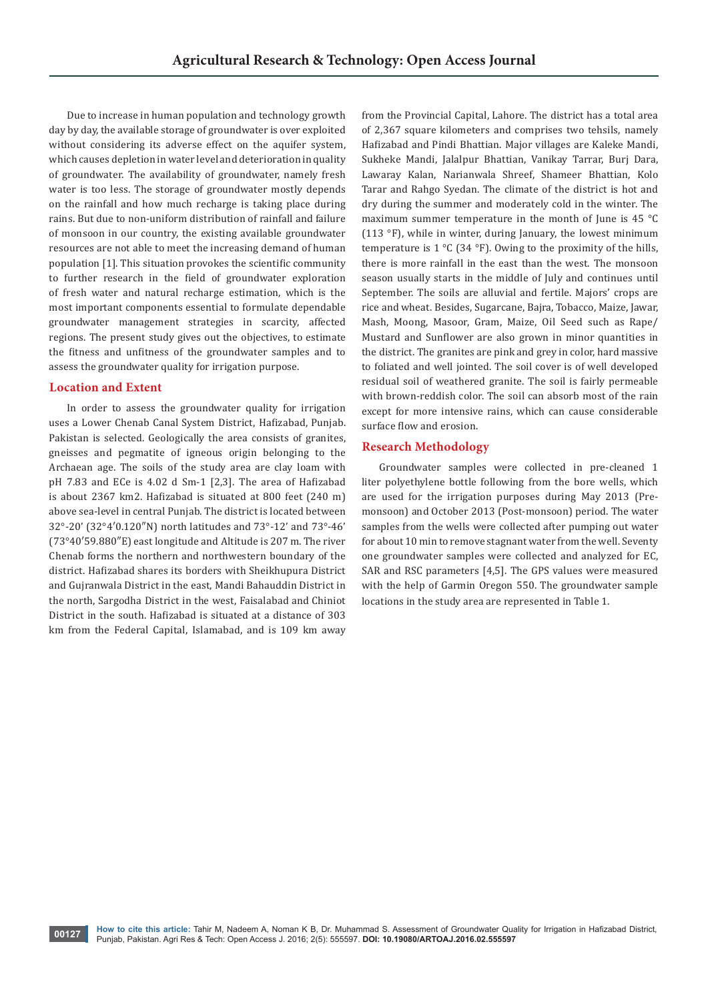Due to increase in human population and technology growth day by day, the available storage of groundwater is over exploited without considering its adverse effect on the aquifer system, which causes depletion in water level and deterioration in quality of groundwater. The availability of groundwater, namely fresh water is too less. The storage of groundwater mostly depends on the rainfall and how much recharge is taking place during rains. But due to non-uniform distribution of rainfall and failure of monsoon in our country, the existing available groundwater resources are not able to meet the increasing demand of human population [1]. This situation provokes the scientific community to further research in the field of groundwater exploration of fresh water and natural recharge estimation, which is the most important components essential to formulate dependable groundwater management strategies in scarcity, affected regions. The present study gives out the objectives, to estimate the fitness and unfitness of the groundwater samples and to assess the groundwater quality for irrigation purpose.

# **Location and Extent**

In order to assess the groundwater quality for irrigation uses a Lower Chenab Canal System District, Hafizabad, Punjab. Pakistan is selected. Geologically the area consists of granites, gneisses and pegmatite of igneous origin belonging to the Archaean age. The soils of the study area are clay loam with pH 7.83 and ECe is 4.02 d Sm-1 [2,3]. The area of Hafizabad is about 2367 km2. Hafizabad is situated at 800 feet (240 m) above sea-level in central Punjab. The district is located between 32°-20' (32°4′0.120″N) north latitudes and 73°-12' and 73°-46' (73°40′59.880″E) east longitude and Altitude is 207 m. The river Chenab forms the northern and northwestern boundary of the district. Hafizabad shares its borders with Sheikhupura District and Gujranwala District in the east, Mandi Bahauddin District in the north, Sargodha District in the west, Faisalabad and Chiniot District in the south. Hafizabad is situated at a distance of 303 km from the Federal Capital, Islamabad, and is 109 km away from the Provincial Capital, Lahore. The district has a total area of 2,367 square kilometers and comprises two tehsils, namely Hafizabad and Pindi Bhattian. Major villages are Kaleke Mandi, Sukheke Mandi, Jalalpur Bhattian, Vanikay Tarrar, Burj Dara, Lawaray Kalan, Narianwala Shreef, Shameer Bhattian, Kolo Tarar and Rahgo Syedan. The climate of the district is hot and dry during the summer and moderately cold in the winter. The maximum summer temperature in the month of June is 45 °C (113 °F), while in winter, during January, the lowest minimum temperature is  $1 °C$  (34 °F). Owing to the proximity of the hills, there is more rainfall in the east than the west. The monsoon season usually starts in the middle of July and continues until September. The soils are alluvial and fertile. Majors' crops are rice and wheat. Besides, Sugarcane, Bajra, Tobacco, Maize, Jawar, Mash, Moong, Masoor, Gram, Maize, Oil Seed such as Rape/ Mustard and Sunflower are also grown in minor quantities in the district. The granites are pink and grey in color, hard massive to foliated and well jointed. The soil cover is of well developed residual soil of weathered granite. The soil is fairly permeable with brown-reddish color. The soil can absorb most of the rain except for more intensive rains, which can cause considerable surface flow and erosion.

# **Research Methodology**

Groundwater samples were collected in pre-cleaned 1 liter polyethylene bottle following from the bore wells, which are used for the irrigation purposes during May 2013 (Premonsoon) and October 2013 (Post-monsoon) period. The water samples from the wells were collected after pumping out water for about 10 min to remove stagnant water from the well. Seventy one groundwater samples were collected and analyzed for EC, SAR and RSC parameters [4,5]. The GPS values were measured with the help of Garmin Oregon 550. The groundwater sample locations in the study area are represented in Table 1.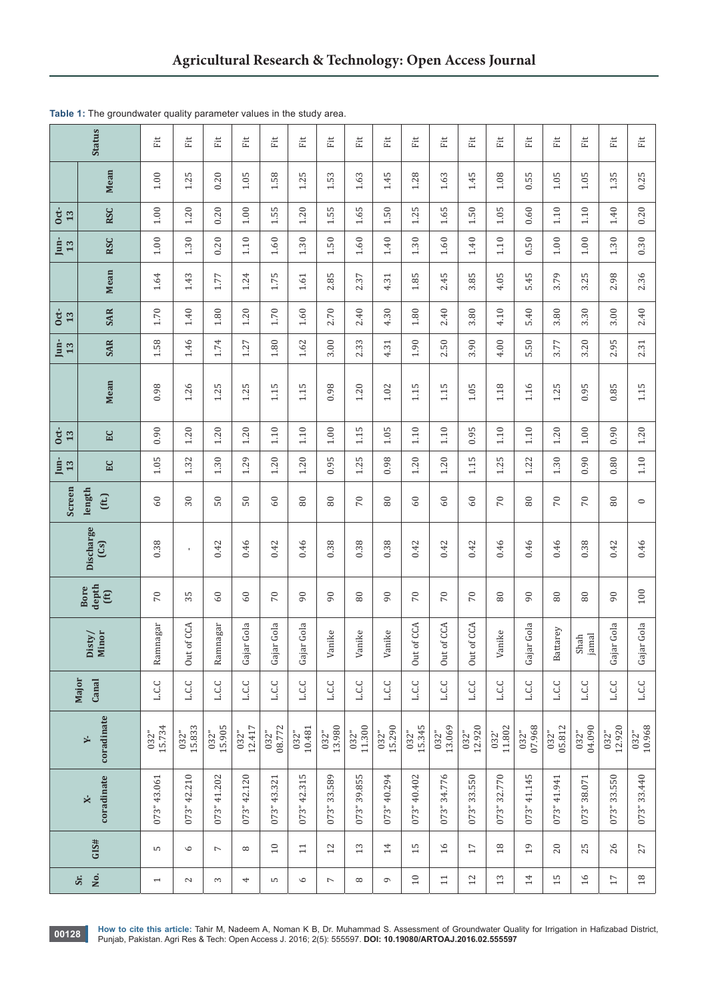| <b>Status</b>                 |                                  | Ë                        | Ĕ                    | Ë                        | 崖              | Ĕť             | Ë                      | Ë                        | Ë              | 赶              | 崖                    | Ë                    | 崖                    | 註              | Ë              | Ë              | 赶              | Ë              | Ë              |
|-------------------------------|----------------------------------|--------------------------|----------------------|--------------------------|----------------|----------------|------------------------|--------------------------|----------------|----------------|----------------------|----------------------|----------------------|----------------|----------------|----------------|----------------|----------------|----------------|
|                               | <b>Mean</b>                      | $1.00\,$                 | S<br>1.2             | 0.20                     | $1.05$         | 1.58           | L<br>1.2               | 1.53                     | 1.63           | 1.45           | 1.28                 | 1.63                 | 1.45                 | $1.08$         | 0.55           | $1.05\,$       | $1.05$         | 1.35           | 0.25           |
| $rac{1}{13}$                  | <b>RSC</b>                       | $1.00\,$                 | 1.20                 | 0.20                     | $1.00\,$       | 1.55           | 1.20                   | 1.55                     | 1.65           | $50\,$<br>⊣    | 1.25                 | 1.65                 | 1.50                 | 1.05           | 0.60           | $1.10$         | 1.10           | 1.40           | 0.20           |
| $\lim_{13}$                   | <b>RSC</b>                       | $1.00\,$                 | 1.30                 | 0.20                     | $1.10\,$       | $1.60\,$       | 1.30                   | 1.50                     | $1.60\,$       | $1.40\,$       | 1.30                 | $1.60\,$             | 1.40                 | 1.10           | 0.50           | $1.00$         | $1.00\,$       | 1.30           | 0.30           |
|                               | <b>Mean</b>                      | 1.64                     | 1.43                 | 1.77                     | 1.24           | 1.75           | $1.61\,$               | 2.85                     | 2.37           | 4.31           | 1.85                 | 2.45                 | 3.85                 | 4.05           | 5.45           | 3.79           | 3.25           | 2.98           | 2.36           |
| $\frac{1}{3}$                 | <b>SAR</b>                       | 1.70                     | 1.40                 | $1.80\,$                 | $1.20$         | 1.70           | $1.60\,$               | 2.70                     | 2.40           | 4.30           | 1.80                 | 2.40                 | 3.80                 | 4.10           | 5.40           | 3.80           | 3.30           | 3.00           | 2.40           |
| $\frac{\text{Im}}{13}$        | <b>SAR</b>                       | 1.58                     | 1.46                 | 1.74                     | 1.27           | $1.80\,$       | $1.62\,$               | 3.00                     | 2.33           | 4.31           | 1.90                 | 2.50                 | 3.90                 | 4.00           | 5.50           | 3.77           | 3.20           | 2.95           | 2.31           |
|                               | Mean                             | 0.98                     | 1.26                 | 1.25                     | 1.25           | 1.15           | LO.<br>$\frac{11}{11}$ | 0.98                     | $1.20$         | 1.02           | S<br>$\Xi$           | m<br>$\frac{11}{11}$ | 1.05                 | 1.18           | 1.16           | 1.25           | 0.95           | 0.85           | 1.15           |
| $\frac{\text{dt}}{\text{13}}$ | EC                               | 0.90                     | 1.20                 | 1.20                     | 1.20           | 1.10           | 1.10                   | $1.00\,$                 | S<br>$\Xi$     | $1.05$         | 1.10                 | $1.10$               | 0.95                 | 1.10           | 1.10           | 1.20           | $1.00\,$       | 0.90           | 1.20           |
| $\lim_{13}$                   | ΕC                               | 1.05                     | 1.32                 | 1.30                     | 1.29           | 1.20           | 1.20                   | 0.95                     | 1.25           | 0.98           | 1.20                 | 1.20                 | 1.15                 | 1.25           | 1.22           | 1.30           | 0.90           | 0.80           | 1.10           |
| Screen                        | length<br>(ft.)                  | 60                       | 30                   | $50\,$                   | 50             | 60             | 80                     | $80\,$                   | 70             | 80             | 60                   | 60                   | 60                   | 70             | 80             | 70             | 70             | 80             | $\circ$        |
|                               | Discharge<br>(S <sub>3</sub> )   | 0.38                     | $\mathbf{I}$         | 0.42                     | 0.46           | 0.42           | 0.46                   | 0.38                     | 0.38           | 0.38           | 0.42                 | 0.42                 | 0.42                 | 0.46           | 0.46           | 0.46           | 0.38           | 0.42           | 0.46           |
|                               | depth<br>Bore<br>(ft)            | 70                       | 35                   | 60                       | 60             | 70             | $\overline{6}$         | 90                       | $\rm 80$       | $\overline{6}$ | 70                   | 70                   | 70                   | 80             | 90             | 80             | $80\,$         | 90             | 100            |
|                               | Minor<br>Disty/                  | Ramnagar                 | ut of CCA<br>$\circ$ | Ramnagar                 | Gajar Gola     | Gajar Gola     | Gajar Gola             | Vanike                   | Vanike         | Vanike         | ut of CCA<br>$\circ$ | Out of CCA           | ut of CCA<br>$\circ$ | Vanike         | Gajar Gola     | Battarey       | Shah<br>jamal  | Gajar Gola     | Gajar Gola     |
|                               | Major<br>Canal                   | <b>L.C.C</b>             | <b>L.C.C</b>         | <b>L.C.C</b>             | <b>L.C.C</b>   | <b>J</b> .C.C  | <b>L.C.C</b>           | <b>L.C.C</b>             | <b>L.C.C</b>   | م ت            | <b>L.C.C</b>         | <b>L.C.C</b>         | <b>L.C.C</b>         | <b>J</b> .C.C  | <b>L.C.C</b>   | <b>L.C.C</b>   | <b>L.C.C</b>   | <b>L.C.C</b>   | <b>L.C.C</b>   |
|                               | coradinate<br>×                  | 15.734<br>032"           | 15.833<br>032"       | $032"$<br>15.905         | 12.417<br>032" | 08.772<br>032" | 10.481<br>032"         | 13.980<br>032"           | 11.300<br>032" | 15.290<br>032" | 15.345<br>032"       | 13.069<br>032"       | 12.920<br>032"       | 11.802<br>032' | 07.968<br>032" | 05.812<br>032" | 04.090<br>032" | 12.920<br>032" | 10.968<br>032" |
|                               | coradinate<br>$\mathbf{\dot{x}}$ | 073" 43.061              | 073"42.210           | 073" 41.202              | 073" 42.120    | 073" 43.321    | LO<br>073" 42.31       | 073" 33.589              | 073" 39.855    | 073" 40.294    | 073" 40.402          | 073" 34.776          | 073" 33.550          | 073" 32.770    | 073" 41.145    | 073" 41.941    | 073" 38.071    | 073" 33.550    | 073" 33.440    |
|                               | GIS#                             | S                        | $\circ$              | $\overline{\phantom{a}}$ | $\infty$       | $10$           | $\Xi$                  | 12                       | $13$           | $14\,$         | 15                   | $\overline{16}$      | $17\,$               | $18$           | 19             | 20             | 25             | 26             | 27             |
|                               | No.<br>Sr.                       | $\overline{\phantom{0}}$ | $\mathcal{L}$        | 3                        | 4              | S              | $\circ$                | $\overline{\phantom{a}}$ | $\infty$       | $\circ$        | $\overline{10}$      | $\Xi$                | 12                   | $13\,$         | 14             | 15             | $\frac{1}{6}$  | $17\,$         | $18\,$         |

**Table 1:** The groundwater quality parameter values in the study area.

**00128** How to cite this article: Tahir M, Nadeem A, Noman K B, Dr. Muhammad S. Assessment of Groundwater Quality for Irrigation in Hafizabad District, No. 1216; 2016; 2(5): 55597. **DOI: [10.19080/ARTOAJ.2016.02.555597](http://dx.doi.org/10.19080/artoaj.2016.02.555597
)**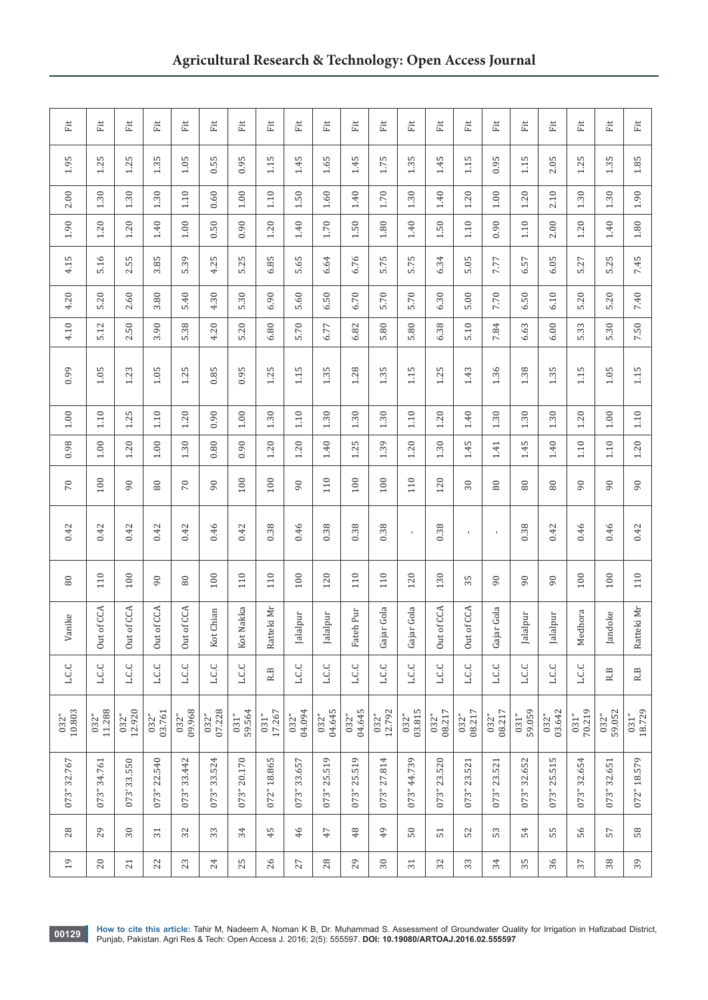| Eit            | Eit            | Fit                  | Eit                  | Eit                    | Eit            | Fit            | Eit            | Eit            | Eit            | Ët             | Eit            | Eit            | Fit                  | Eit                  | Eit            | Eit            | Ĕit             | Eit            | Eit            | Fit            |
|----------------|----------------|----------------------|----------------------|------------------------|----------------|----------------|----------------|----------------|----------------|----------------|----------------|----------------|----------------------|----------------------|----------------|----------------|-----------------|----------------|----------------|----------------|
| 1.95           | 1.25           | 1.25                 | 1.35                 | 1.05                   | 0.55           | 0.95           | 1.15           | 1.45           | 1.65           | 1.45           | 1.75           | 1.35           | 1.45                 | 1.15                 | 0.95           | 1.15           | 2.05            | 1.25           | 1.35           | $1.85\,$       |
| 2.00           | 1.30           | 1.30                 | 1.30                 | 1.10                   | 0.60           | $1.00\,$       | 1.10           | 1.50           | $1.60\,$       | 1.40           | 1.70           | 1.30           | 1.40                 | 1.20                 | $1.00\,$       | 1.20           | 2.10            | 1.30           | 1.30           | 1.90           |
| 1.90           | 1.20           | 1.20                 | 1.40                 | $1.00\,$               | 0.50           | 0.90           | $1.20$         | 1.40           | 1.70           | $1.50\,$       | $1.80\,$       | 1.40           | 1.50                 | $1.10\,$             | 0.90           | 1.10           | 2.00            | $1.20$         | $1.40\,$       | $1.80\,$       |
| 4.15           | 5.16           | 2.55                 | 3.85                 | 5.39                   | 4.25           | 5.25           | 6.85           | 5.65           | 6.64           | 6.76           | 5.75           | 5.75           | 6.34                 | 5.05                 | 7.77           | 6.57           | 6.05            | 5.27           | 5.25           | 7.45           |
| 4.20           | 5.20           | 2.60                 | 3.80                 | 5.40                   | 4.30           | 5.30           | 6.90           | 5.60           | 6.50           | 6.70           | 5.70           | 5.70           | 6.30                 | 5.00                 | 7.70           | 6.50           | 6.10            | 5.20           | 5.20           | 7.40           |
| 4.10           | 5.12           | 2.50                 | 3.90                 | 5.38                   | 4.20           | 5.20           | 6.80           | 5.70           | 6.77           | 6.82           | 5.80           | 5.80           | 6.38                 | 5.10                 | 7.84           | 6.63           | 6.00            | 5.33           | 5.30           | 7.50           |
| 0.99           | $1.05$         | 1.23                 | $1.05$               | 1.25                   | 0.85           | 0.95           | 1.25           | 1.15           | 1.35           | $1.28$         | 1.35           | 1.15           | 1.25                 | 1.43                 | 1.36           | 1.38           | 1.35            | 1.15           | $1.05$         | $1.15$         |
| $1.00\,$       | 1.10           | 1.25                 | 1.10                 | 1.20                   | 0.90           | $1.00\,$       | 1.30           | $1.10$         | 1.30           | 1.30           | 1.30           | $1.10$         | 1.20                 | 1.40                 | 1.30           | 1.30           | 1.30            | 1.20           | $1.00\,$       | $1.10$         |
| 0.98           | $1.00\,$       | $1.20$               | $1.00\,$             | 1.30                   | 0.80           | 0.90           | $1.20$         | 1.20           | 1.40           | 1.25           | 1.39           | $1.20$         | 1.30                 | 1.45                 | 1.41           | 1.45           | $1.40\,$        | 1.10           | $1.10\,$       | $1.20$         |
| 70             | 100            | 90                   | 80                   | 70                     | $\overline{6}$ | 100            | 100            | $\overline{6}$ | 110            | 100            | 100            | 110            | 120                  | $30\,$               | 80             | 80             | 80              | $\overline{6}$ | 60             | 66             |
| 0.42           | 0.42           | 0.42                 | 0.42                 | 0.42                   | 0.46           | 0.42           | 0.38           | 0.46           | 0.38           | 0.38           | 0.38           | $\mathbf{I}$   | 0.38                 | $\mathbf{I}$         | $\blacksquare$ | 0.38           | 0.42            | 0.46           | 0.46           | 0.42           |
| $\rm 80$       | 110            | 100                  | 90                   | $\rm 80$               | 100            | 110            | 110            | 100            | 120            | 110            | 110            | 120            | 130                  | 35                   | 90             | $\overline{6}$ | $\overline{6}$  | 100            | 100            | 110            |
| Vanike         | of CCA<br>Out  | of CCA<br><b>Out</b> | of CCA<br><b>Out</b> | : of CCA<br><b>Out</b> | Kot Chian      | Kot Nakka      | Ratteki Mr     | Jalalpur       | Jalalpur       | eh Pur<br>Fat  | Gajar Gola     | Gajar Gola     | of CCA<br><b>Out</b> | of CCA<br><b>Out</b> | Gajar Gola     | Jalalpur       | Jalalpur        | Medhora        | Jandoke        | Ratteki Mr     |
| L.C.C          | L.C.C          | <b>L.C.C</b>         | L.C.C                | L.C.C                  | <b>L.C.C</b>   | L.C.C          | R.B            | <b>L.C.C</b>   | J.C.C          | <b>L.C.C</b>   | <b>L.C.C</b>   | <b>L.C.C</b>   | <b>L.C.C</b>         | <b>L.C.C</b>         | <b>L.C.C</b>   | <b>L.C.C</b>   | <b>J</b> .C.C   | <b>L.C.C</b>   | R.B            | R.B            |
| 10.803<br>032" | 11.288<br>032" | $032"$<br>12.920     | 03.761<br>032"       | $032"$<br>$09.968$     | 07.228<br>032" | 59.564<br>031" | 17.267<br>031" | 04.094<br>032" | 04.645<br>032" | 04.645<br>032" | 12.792<br>032" | 03.815<br>032" | 08.217<br>032"       | 08.217<br>032"       | 08.217<br>032" | 59.059<br>031" | 03.642<br>032"  | 70.219<br>031" | 59.052<br>032" | 18.729<br>031" |
| 073" 32.767    | 073" 34.761    | 33.550<br>073'       | 22.540<br>073"       | 073" 33.442            | 073" 33.524    | 073" 20.170    | 072" 18.865    | 33.657<br>073" | 073" 25.519    | 073" 25.519    | 27.814<br>073" | 44.739<br>073" | 073" 23.520          | 073" 23.521          | 23.521<br>073" | 32.652<br>073" | S<br>073" 25.51 | 073" 32.654    | 073" 32.651    | 072" 18.579    |
| 28             | 29             | 30                   | 31                   | 32                     | 33             | 34             | 45             | 46             | 47             | $48$           | $^{49}$        | $50\,$         | 51                   | 52                   | 53             | 54             | 55              | 56             | 57             | 58             |
| 19             | 20             | 21                   | 22                   | 23                     | 24             | 25             | 26             | 27             | 28             | 29             | $30\,$         | 31             | 32                   | 33                   | 34             | 35             | 36              | 37             | 38             | 39             |

**00129** How to cite this article: Tahir M, Nadeem A, Noman K B, Dr. Muhammad S. Assessment of Groundwater Quality for Irrigation in Hafizabad District,<br>Punjab, Pakistan. Agri Res & Tech: Open Access J. 2016; 2(5): 555597.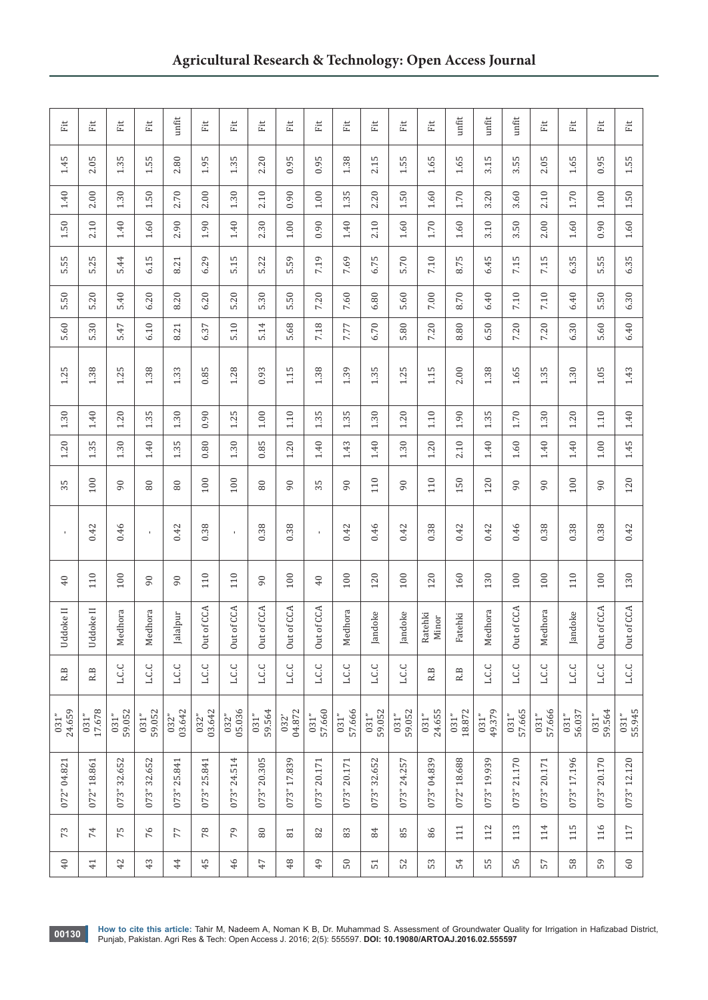| Eit            | Eit             | Ët              | Eit                | unfit          | Eit            | Ĕ              | Ë              | Ë              | Eit            | Ë              | Ĕit            | Eit                  | Eit              | $unfit$        | unfit          | unfit                 | Eit            | Eit            | Eit            | Eit            |
|----------------|-----------------|-----------------|--------------------|----------------|----------------|----------------|----------------|----------------|----------------|----------------|----------------|----------------------|------------------|----------------|----------------|-----------------------|----------------|----------------|----------------|----------------|
| 1.45           | 2.05            | w<br>1.3        | S<br>$\frac{5}{1}$ | 2.80           | 1.95           | S<br>1.3       | 2.20           | S<br>0.9       | 0.95           | 1.38           | S<br>2.1       | LO.<br>$\frac{1}{1}$ | 1.65             | 1.65           | LO.<br>3.1     | S<br>$3.\overline{5}$ | 2.05           | 1.65           | S<br>0.9       | 1.55           |
| 1.40           | 2.00            | 1.30            | 1.50               | 2.70           | 2.00           | 1.30           | 2.10           | 0.90           | 1.00           | 1.35           | 2.20           | 1.50                 | $1.60\,$         | 1.70           | 3.20           | 3.60                  | 2.10           | 1.70           | $1.00$         | 1.50           |
| 1.50           | 2.10            | 1.40            | $1.60\,$           | 2.90           | 1.90           | 1.40           | 2.30           | $1.00$         | 0.90           | 1.40           | 2.10           | $1.60\,$             | $1.70\,$         | $1.60\,$       | 3.10           | 50<br>$\sim$          | 2.00           | $1.60\,$       | 0.90           | $1.60\,$       |
| 5.55           | 5.25            | 5.44            | 6.15               | 8.21           | 6.29           | 5.15           | 5.22           | 5.59           | 7.19           | 7.69           | 6.75           | 5.70                 | 7.10             | 8.75           | 6.45           | 7.15                  | 7.15           | 6.35           | 5.55           | 6.35           |
| 5.50           | 5.20            | 5.40            | 6.20               | 8.20           | 6.20           | 5.20           | 5.30           | 5.50           | 7.20           | 7.60           | 6.80           | 5.60                 | 7.00             | 8.70           | 6.40           | 7.10                  | 7.10           | 6.40           | 5.50           | 6.30           |
| 5.60           | 5.30            | 5.47            | 6.10               | 8.21           | 6.37           | 5.10           | 5.14           | 5.68           | 7.18           | 7.77           | 6.70           | 5.80                 | 7.20             | 8.80           | 50<br>Ġ        | 7.20                  | 7.20           | 6.30           | 5.60           | 6.40           |
| 1.25           | 1.38            | 1.25            | 1.38               | 1.33           | 0.85           | 1.28           | 0.93           | 1.15           | 1.38           | 1.39           | 1.35           | 1.25                 | 1.15             | 2.00           | 1.38           | 1.65                  | 1.35           | 1.30           | $1.05$         | 1.43           |
| 1.30           | $1.40\,$        | 1.20            | 1.35               | 1.30           | 0.90           | 1.25           | $1.00$         | 1.10           | 1.35           | 1.35           | 1.30           | 1.20                 | 1.10             | 1.90           | 1.35           | 1.70                  | $1.30\,$       | 1.20           | $1.10$         | $1.40\,$       |
| $1.20$         | $1.35$          | 1.30            | 1.40               | 1.35           | 0.80           | 1.30           | 0.85           | $1.20$         | 1.40           | 1.43           | 1.40           | $1.30\,$             | $1.20$           | 2.10           | 1.40           | 1.60                  | $1.40\,$       | 1.40           | $1.00\,$       | 1.45           |
| 35             | 100             | $\mathcal{S}^0$ | $80\,$             | 80             | 100            | 100            | $80\,$         | $\overline{6}$ | S<br>3         | $\overline{6}$ | 110            | 90                   | 110              | 150            | 120            | 90                    | 90             | 100            | $\overline{6}$ | 120            |
| $\mathbf{r}$   | 0.42            | 0.46            | $\mathbf{I}$       | 0.42           | 0.38           | $\mathbf{I}$   | 0.38           | 0.38           | $\mathbf{I}$   | 0.42           | 0.46           | 0.42                 | 0.38             | 0.42           | 0.42           | 0.46                  | 0.38           | 0.38           | 0.38           | 0.42           |
| 40             | 110             | 100             | 90                 | $\overline{6}$ | 110            | 110            | 90             | 100            | 40             | 100            | 120            | 100                  | 120              | 160            | 130            | 100                   | 100            | 110            | 100            | 130            |
| Uddoke II      | Uddoke II       | edhora<br>Σ     | Medhora            | Jalalpur       | Out of CCA     | Out of CCA     | Out of CCA     | Out of CCA     | Out of CCA     | edhora<br>Σ    | Jandoke        | Jandoke              | Ratehki<br>Minor | Fatehki        | Medhora        | Out of CCA            | ledhora<br>Σ   | Jandoke        | Out of CCA     | Out of CCA     |
| $R.B$          | R.B             | <b>L.C.C</b>    | <b>J.J.L</b>       | <b>J.C.C</b>   | L.C.C          | <b>J.C.C</b>   | <b>L.C.C</b>   | J.J.I          | J.C.C          | <b>L.C.C</b>   | <b>L.C.C</b>   | <b>L.C.C</b>         | R.B              | R.B            | <b>L.C.C</b>   | <b>L.C.C</b>          | J.J.L          | J.J.I          | <b>J.C.C</b>   | L.C.C          |
| 24.659<br>031" | 17.678<br>031"  | 59.052<br>031"  | 59.052<br>031"     | 03.642<br>032" | 03.642<br>032" | 05.036<br>032" | 59.564<br>031" | 04.872<br>032' | 57.660<br>031" | 57.666<br>031" | 59.052<br>031" | 59.052<br>031"       | 24.655<br>031"   | 18.872<br>031" | 49.379<br>031" | 57.665<br>031"        | 57.666<br>031" | 56.037<br>031" | 59.564<br>031" | 55.945<br>031" |
| 072" 04.821    | 072" 18.861     | 32.652<br>073"  | 073" 32.652        | 073" 25.841    | 073" 25.841    | 073" 24.514    | 073" 20.305    | 073" 17.839    | 073" 20.171    | 073" 20.171    | 32.652<br>073" | 073" 24.257          | 073" 04.839      | 072" 18.688    | 073" 19.939    | 073" 21.170           | 073" 20.171    | 073" 17.196    | 073" 20.170    | 073" 12.120    |
| 73             | 74              | 75              | 76                 | 77             | 78             | 79             | $\rm 80$       | 81             | 82             | 83             | 84             | 85                   | 86               | 111            | 112            | 113                   | 114            | 115            | 116            | 117            |
| 40             | $\overline{41}$ | 42              | 43                 | 44             | 45             | 46             | $47$           | 48             | 49             | 50             | 51             | 52                   | 53               | 54             | 55             | 56                    | 57             | 58             | 59             | $60\,$         |

**00130** How to cite this article: Tahir M, Nadeem A, Noman K B, Dr. Muhammad S. Assessment of Groundwater Quality for Irrigation in Hafizabad District, No. 130130 Punjab, Pakistan. Agri Res & Tech: Open Access J. 2016; 2(5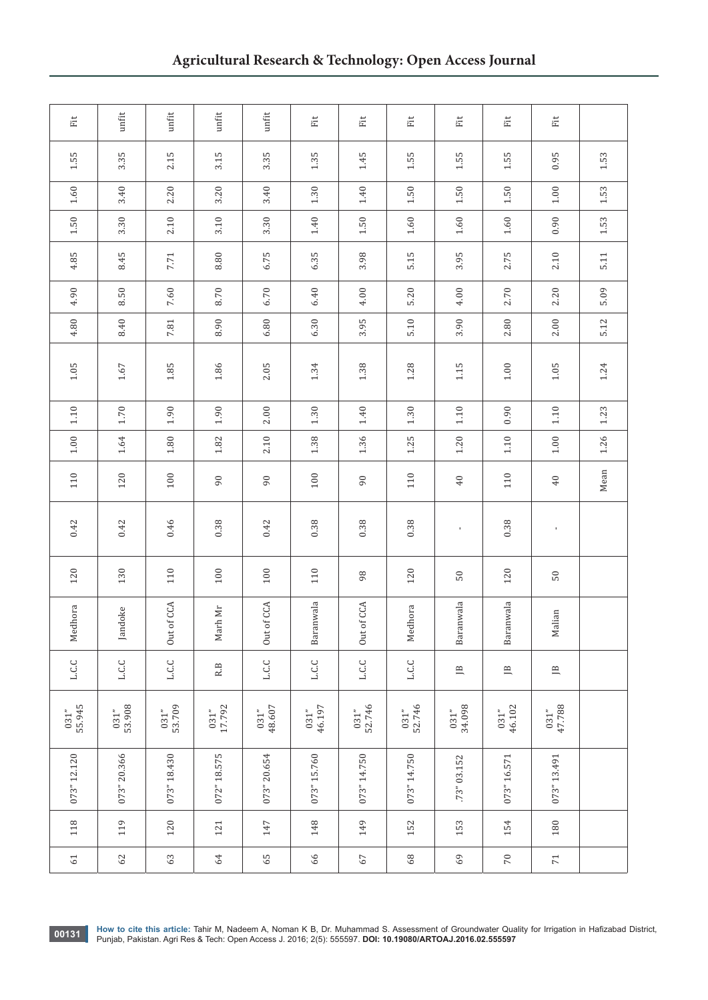| Eit            | unfit            | unfit                | $unfit$                  | $unfit$              | Ë              | Eit                  | Eit              | Ĕ                | Eit            | Fit              |      |
|----------------|------------------|----------------------|--------------------------|----------------------|----------------|----------------------|------------------|------------------|----------------|------------------|------|
| 1.55           | 3.35             | 2.15                 | 3.15                     | 3.35                 | 1.35           | 1.45                 | 1.55             | 1.55             | 1.55           | 0.95             | 1.53 |
| $1.60\,$       | 3.40             | 2.20                 | 3.20                     | 3.40                 | $1.30\,$       | 1.40                 | 1.50             | 1.50             | 1.50           | $1.00\,$         | 1.53 |
| 1.50           | 3.30             | 2.10                 | 3.10                     | 3.30                 | 1.40           | 1.50                 | $1.60\,$         | $1.60\,$         | $1.60\,$       | 0.90             | 1.53 |
| 4.85           | 8.45             | 7.71                 | 8.80                     | 6.75                 | 6.35           | 3.98                 | 5.15             | 3.95             | 2.75           | 2.10             | 5.11 |
| 4.90           | 8.50             | 7.60                 | 8.70                     | 6.70                 | 6.40           | 4.00                 | 5.20             | 4.00             | 2.70           | 2.20             | 5.09 |
| 4.80           | 8.40             | $\!\!7.81$           | 8.90                     | 6.80                 | 6.30           | 3.95                 | 5.10             | 3.90             | 2.80           | $2.00\,$         | 5.12 |
| $1.05$         | $1.67\,$         | $1.85\,$             | 1.86                     | 2.05                 | 1.34           | 1.38                 | 1.28             | 1.15             | $1.00\,$       | $1.05$           | 1.24 |
| 1.10           | 1.70             | $1.90\,$             | 1.90                     | 2.00                 | 1.30           | 1.40                 | $1.30\,$         | $1.10$           | 0.90           | $1.10\,$         | 1.23 |
| $1.00\,$       | 1.64             | $1.80\,$             | $1.82\,$                 | 2.10                 | 1.38           | 1.36                 | 1.25             | 1.20             | 1.10           | $1.00\,$         | 1.26 |
| 110            | 120              | 100                  | 90                       | 90                   | 100            | 90                   | 110              | 40               | 110            | $40\,$           | Mean |
| 0.42           | 0.42             | 0.46                 | 0.38                     | 0.42                 | 0.38           | 0.38                 | 0.38             | $\mathbf{r}$     | 0.38           | $\mathbf{I}$     |      |
| 120            | 130              | 110                  | 100                      | 100                  | 110            | 98                   | 120              | $50\,$           | 120            | $50\,$           |      |
| Medhora        | Jandoke          | of CCA<br><b>Out</b> | Marh Mr                  | of CCA<br><b>Out</b> | Baranwala      | of CCA<br><b>Out</b> | Medhora          | Baranwala        | Baranwala      | Malian           |      |
| L.C.C          | <b>L.C.C</b>     | <b>L.C.C</b>         | $\mathbb{R}.\mathbb{B}$  | <b>L.C.C</b>         | L.C.C          | L.C.C                | L.C.C            | $\mathbb B$      | $\mathbb{B}$   | $\overline{\Xi}$ |      |
| 55.945<br>031" | $031"$<br>53.908 | $031"$<br>53.709     | $\frac{031^{n}}{17.792}$ | $031"$<br>48.607     | 46.197<br>031" | $031"$<br>52.746     | $031"$<br>52.746 | $031"$<br>34.098 | 46.102<br>031" | 47.788<br>031"   |      |
| 073" 12.120    | 073" 20.366      | 073" 18.430          | 072" 18.575              | 073" 20.654          | 073" 15.760    | 073" 14.750          | 073" 14.750      | 73" 03.152       | 073" 16.571    | 073" 13.491      |      |
| 118            | 119              | 120                  | 121                      | 147                  | 148            | 149                  | 152              | 153              | 154            | 180              |      |
| 61             | 62               | 63                   | 64                       | 65                   | 66             | 67                   | $68$             | 69               | 70             | $71\,$           |      |

**00131** How to cite this article: Tahir M, Nadeem A, Noman K B, Dr. Muhammad S. Assessment of Groundwater Quality for Irrigation in Hafizabad District, **Punjab, Pakistan. Agri Res & Tech:** Open Access J. 2016; 2(5): 55597.